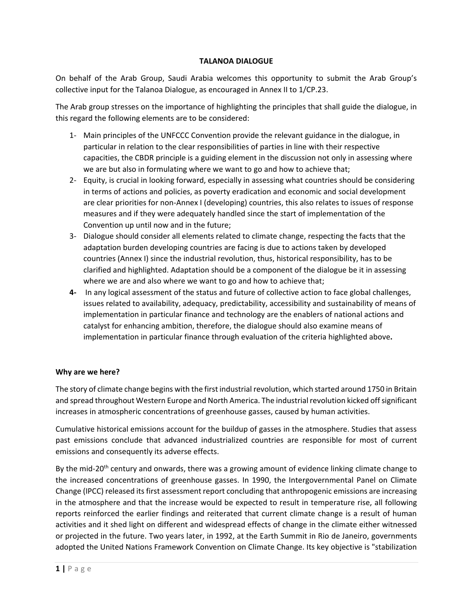## **TALANOA DIALOGUE**

On behalf of the Arab Group, Saudi Arabia welcomes this opportunity to submit the Arab Group's collective input for the Talanoa Dialogue, as encouraged in Annex II to 1/CP.23.

The Arab group stresses on the importance of highlighting the principles that shall guide the dialogue, in this regard the following elements are to be considered:

- 1- Main principles of the UNFCCC Convention provide the relevant guidance in the dialogue, in particular in relation to the clear responsibilities of parties in line with their respective capacities, the CBDR principle is a guiding element in the discussion not only in assessing where we are but also in formulating where we want to go and how to achieve that;
- 2- Equity, is crucial in looking forward, especially in assessing what countries should be considering in terms of actions and policies, as poverty eradication and economic and social development are clear priorities for non-Annex I (developing) countries, this also relates to issues of response measures and if they were adequately handled since the start of implementation of the Convention up until now and in the future;
- 3- Dialogue should consider all elements related to climate change, respecting the facts that the adaptation burden developing countries are facing is due to actions taken by developed countries (Annex I) since the industrial revolution, thus, historical responsibility, has to be clarified and highlighted. Adaptation should be a component of the dialogue be it in assessing where we are and also where we want to go and how to achieve that;
- **4-** In any logical assessment of the status and future of collective action to face global challenges, issues related to availability, adequacy, predictability, accessibility and sustainability of means of implementation in particular finance and technology are the enablers of national actions and catalyst for enhancing ambition, therefore, the dialogue should also examine means of implementation in particular finance through evaluation of the criteria highlighted above**.**

### **Why are we here?**

The story of climate change begins with the first industrial revolution, which started around 1750 in Britain and spread throughout Western Europe and North America. The industrial revolution kicked off significant increases in atmospheric concentrations of greenhouse gasses, caused by human activities.

Cumulative historical emissions account for the buildup of gasses in the atmosphere. Studies that assess past emissions conclude that advanced industrialized countries are responsible for most of current emissions and consequently its adverse effects.

By the mid-20<sup>th</sup> century and onwards, there was a growing amount of evidence linking climate change to the increased concentrations of greenhouse gasses. In 1990, the Intergovernmental Panel on Climate Change (IPCC) released its first assessment report concluding that anthropogenic emissions are increasing in the atmosphere and that the increase would be expected to result in temperature rise, all following reports reinforced the earlier findings and reiterated that current climate change is a result of human activities and it shed light on different and widespread effects of change in the climate either witnessed or projected in the future. Two years later, in 1992, at the Earth Summit in Rio de Janeiro, governments adopted the United Nations Framework Convention on Climate Change. Its key objective is "stabilization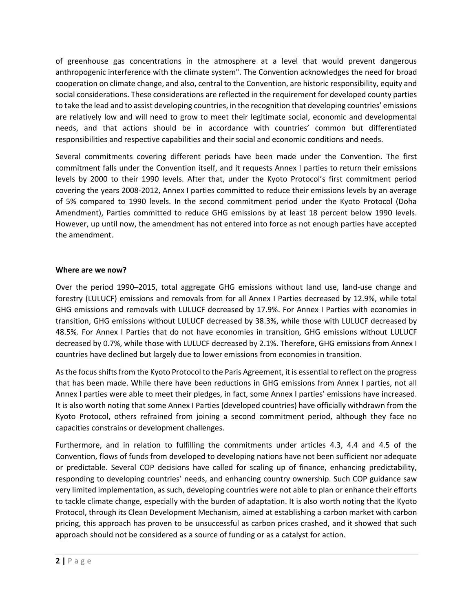of greenhouse gas concentrations in the atmosphere at a level that would prevent dangerous anthropogenic interference with the climate system". The Convention acknowledges the need for broad cooperation on climate change, and also, central to the Convention, are historic responsibility, equity and social considerations. These considerations are reflected in the requirement for developed county parties to take the lead and to assist developing countries, in the recognition that developing countries' emissions are relatively low and will need to grow to meet their legitimate social, economic and developmental needs, and that actions should be in accordance with countries' common but differentiated responsibilities and respective capabilities and their social and economic conditions and needs.

Several commitments covering different periods have been made under the Convention. The first commitment falls under the Convention itself, and it requests Annex I parties to return their emissions levels by 2000 to their 1990 levels. After that, under the Kyoto Protocol's first commitment period covering the years 2008-2012, Annex I parties committed to reduce their emissions levels by an average of 5% compared to 1990 levels. In the second commitment period under the Kyoto Protocol (Doha Amendment), Parties committed to reduce GHG emissions by at least 18 percent below 1990 levels. However, up until now, the amendment has not entered into force as not enough parties have accepted the amendment.

### **Where are we now?**

Over the period 1990–2015, total aggregate GHG emissions without land use, land-use change and forestry (LULUCF) emissions and removals from for all Annex I Parties decreased by 12.9%, while total GHG emissions and removals with LULUCF decreased by 17.9%. For Annex I Parties with economies in transition, GHG emissions without LULUCF decreased by 38.3%, while those with LULUCF decreased by 48.5%. For Annex I Parties that do not have economies in transition, GHG emissions without LULUCF decreased by 0.7%, while those with LULUCF decreased by 2.1%. Therefore, GHG emissions from Annex I countries have declined but largely due to lower emissions from economies in transition.

As the focus shifts from the Kyoto Protocol to the Paris Agreement, it is essential to reflect on the progress that has been made. While there have been reductions in GHG emissions from Annex I parties, not all Annex I parties were able to meet their pledges, in fact, some Annex I parties' emissions have increased. It is also worth noting that some Annex I Parties (developed countries) have officially withdrawn from the Kyoto Protocol, others refrained from joining a second commitment period, although they face no capacities constrains or development challenges.

Furthermore, and in relation to fulfilling the commitments under articles 4.3, 4.4 and 4.5 of the Convention, flows of funds from developed to developing nations have not been sufficient nor adequate or predictable. Several COP decisions have called for scaling up of finance, enhancing predictability, responding to developing countries' needs, and enhancing country ownership. Such COP guidance saw very limited implementation, as such, developing countries were not able to plan or enhance their efforts to tackle climate change, especially with the burden of adaptation. It is also worth noting that the Kyoto Protocol, through its Clean Development Mechanism, aimed at establishing a carbon market with carbon pricing, this approach has proven to be unsuccessful as carbon prices crashed, and it showed that such approach should not be considered as a source of funding or as a catalyst for action.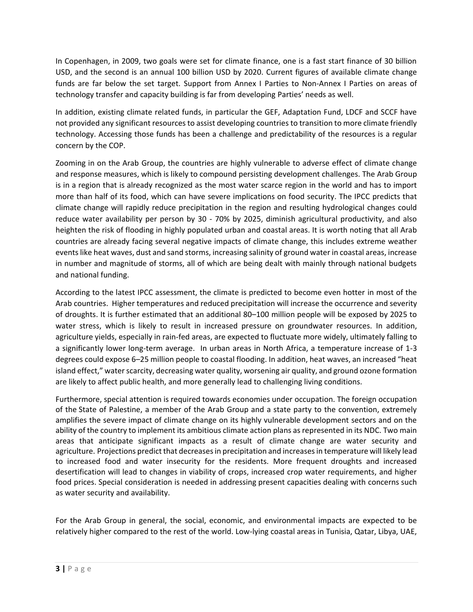In Copenhagen, in 2009, two goals were set for climate finance, one is a fast start finance of 30 billion USD, and the second is an annual 100 billion USD by 2020. Current figures of available climate change funds are far below the set target. Support from Annex I Parties to Non-Annex I Parties on areas of technology transfer and capacity building is far from developing Parties' needs as well.

In addition, existing climate related funds, in particular the GEF, Adaptation Fund, LDCF and SCCF have not provided any significant resources to assist developing countries to transition to more climate friendly technology. Accessing those funds has been a challenge and predictability of the resources is a regular concern by the COP.

Zooming in on the Arab Group, the countries are highly vulnerable to adverse effect of climate change and response measures, which is likely to compound persisting development challenges. The Arab Group is in a region that is already recognized as the most water scarce region in the world and has to import more than half of its food, which can have severe implications on food security. The IPCC predicts that climate change will rapidly reduce precipitation in the region and resulting hydrological changes could reduce water availability per person by 30 - 70% by 2025, diminish agricultural productivity, and also heighten the risk of flooding in highly populated urban and coastal areas. It is worth noting that all Arab countries are already facing several negative impacts of climate change, this includes extreme weather events like heat waves, dust and sand storms, increasing salinity of ground water in coastal areas, increase in number and magnitude of storms, all of which are being dealt with mainly through national budgets and national funding.

According to the latest IPCC assessment, the climate is predicted to become even hotter in most of the Arab countries. Higher temperatures and reduced precipitation will increase the occurrence and severity of droughts. It is further estimated that an additional 80–100 million people will be exposed by 2025 to water stress, which is likely to result in increased pressure on groundwater resources. In addition, agriculture yields, especially in rain-fed areas, are expected to fluctuate more widely, ultimately falling to a significantly lower long-term average. In urban areas in North Africa, a temperature increase of 1-3 degrees could expose 6–25 million people to coastal flooding. In addition, heat waves, an increased "heat island effect," water scarcity, decreasing water quality, worsening air quality, and ground ozone formation are likely to affect public health, and more generally lead to challenging living conditions.

Furthermore, special attention is required towards economies under occupation. The foreign occupation of the State of Palestine, a member of the Arab Group and a state party to the convention, extremely amplifies the severe impact of climate change on its highly vulnerable development sectors and on the ability of the country to implement its ambitious climate action plans as represented in its NDC. Two main areas that anticipate significant impacts as a result of climate change are water security and agriculture. Projections predict that decreases in precipitation and increases in temperature will likely lead to increased food and water insecurity for the residents. More frequent droughts and increased desertification will lead to changes in viability of crops, increased crop water requirements, and higher food prices. Special consideration is needed in addressing present capacities dealing with concerns such as water security and availability.

For the Arab Group in general, the social, economic, and environmental impacts are expected to be relatively higher compared to the rest of the world. Low-lying coastal areas in Tunisia, Qatar, Libya, UAE,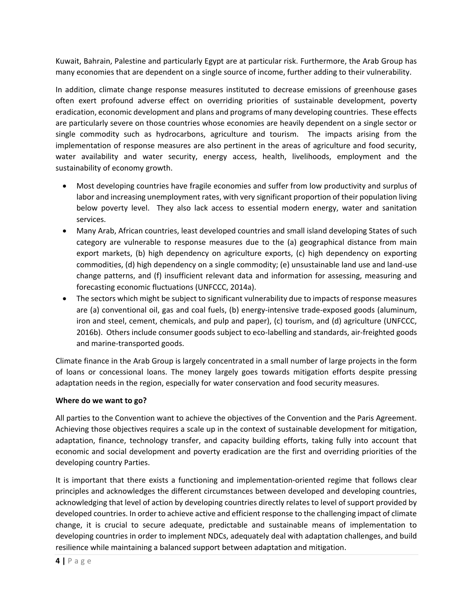Kuwait, Bahrain, Palestine and particularly Egypt are at particular risk. Furthermore, the Arab Group has many economies that are dependent on a single source of income, further adding to their vulnerability.

In addition, climate change response measures instituted to decrease emissions of greenhouse gases often exert profound adverse effect on overriding priorities of sustainable development, poverty eradication, economic development and plans and programs of many developing countries. These effects are particularly severe on those countries whose economies are heavily dependent on a single sector or single commodity such as hydrocarbons, agriculture and tourism. The impacts arising from the implementation of response measures are also pertinent in the areas of agriculture and food security, water availability and water security, energy access, health, livelihoods, employment and the sustainability of economy growth.

- Most developing countries have fragile economies and suffer from low productivity and surplus of labor and increasing unemployment rates, with very significant proportion of their population living below poverty level. They also lack access to essential modern energy, water and sanitation services.
- Many Arab, African countries, least developed countries and small island developing States of such category are vulnerable to response measures due to the (a) geographical distance from main export markets, (b) high dependency on agriculture exports, (c) high dependency on exporting commodities, (d) high dependency on a single commodity; (e) unsustainable land use and land-use change patterns, and (f) insufficient relevant data and information for assessing, measuring and forecasting economic fluctuations (UNFCCC, 2014a).
- The sectors which might be subject to significant vulnerability due to impacts of response measures are (a) conventional oil, gas and coal fuels, (b) energy-intensive trade-exposed goods (aluminum, iron and steel, cement, chemicals, and pulp and paper), (c) tourism, and (d) agriculture (UNFCCC, 2016b). Others include consumer goods subject to eco-labelling and standards, air-freighted goods and marine-transported goods.

Climate finance in the Arab Group is largely concentrated in a small number of large projects in the form of loans or concessional loans. The money largely goes towards mitigation efforts despite pressing adaptation needs in the region, especially for water conservation and food security measures.

# **Where do we want to go?**

All parties to the Convention want to achieve the objectives of the Convention and the Paris Agreement. Achieving those objectives requires a scale up in the context of sustainable development for mitigation, adaptation, finance, technology transfer, and capacity building efforts, taking fully into account that economic and social development and poverty eradication are the first and overriding priorities of the developing country Parties.

It is important that there exists a functioning and implementation-oriented regime that follows clear principles and acknowledges the different circumstances between developed and developing countries, acknowledging that level of action by developing countries directly relates to level of support provided by developed countries. In order to achieve active and efficient response to the challenging impact of climate change, it is crucial to secure adequate, predictable and sustainable means of implementation to developing countries in order to implement NDCs, adequately deal with adaptation challenges, and build resilience while maintaining a balanced support between adaptation and mitigation.